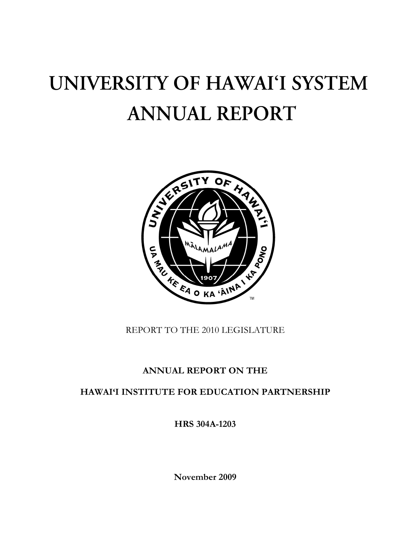# UNIVERSITY OF HAWAI'I SYSTEM **ANNUAL REPORT**



REPORT TO THE 2010 LEGISLATURE

## **ANNUAL REPORT ON THE**

**HAWAI'I INSTITUTE FOR EDUCATION PARTNERSHIP** 

**HRS 304A-1203** 

**November 2009**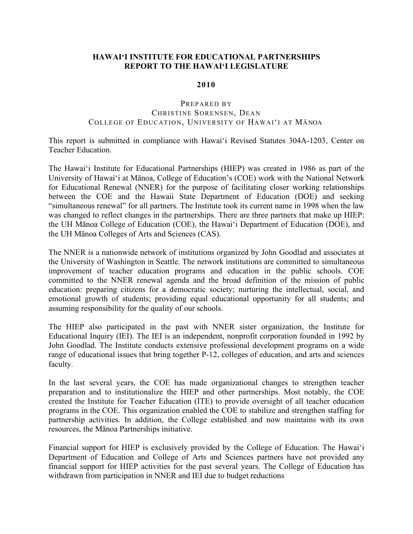#### **HAWAI'I INSTITUTE FOR EDUCATIONAL PARTNERSHIPS REPORT TO THE HAWAI'I LEGISLATURE**

#### **2010**

#### PREPARED BY CHRISTINE SORENSEN, DEAN COLLEGE OF EDUCATION, UNIVERSITY OF HAWAI'I AT MĀNOA

This report is submitted in compliance with Hawai'i Revised Statutes 304A-1203, Center on Teacher Education.

The Hawai'i Institute for Educational Partnerships (HIEP) was created in 1986 as part of the University of Hawai'i at Mānoa, College of Education's (COE) work with the National Network for Educational Renewal (NNER) for the purpose of facilitating closer working relationships between the COE and the Hawaii State Department of Education (DOE) and seeking "simultaneous renewal" for all partners. The Institute took its current name in 1998 when the law was changed to reflect changes in the partnerships. There are three partners that make up HIEP: the UH Mānoa College of Education (COE), the Hawai'i Department of Education (DOE), and the UH Mānoa Colleges of Arts and Sciences (CAS).

The NNER is a nationwide network of institutions organized by John Goodlad and associates at the University of Washington in Seattle. The network institutions are committed to simultaneous improvement of teacher education programs and education in the public schools. COE committed to the NNER renewal agenda and the broad definition of the mission of public education: preparing citizens for a democratic society; nurturing the intellectual, social, and emotional growth of students; providing equal educational opportunity for all students; and assuming responsibility for the quality of our schools.

The HIEP also participated in the past with NNER sister organization, the Institute for Educational Inquiry (IEI). The IEI is an independent, nonprofit corporation founded in 1992 by John Goodlad. The Institute conducts extensive professional development programs on a wide range of educational issues that bring together P-12, colleges of education, and arts and sciences faculty.

In the last several years, the COE has made organizational changes to strengthen teacher preparation and to institutionalize the HIEP and other partnerships. Most notably, the COE created the Institute for Teacher Education (ITE) to provide oversight of all teacher education programs in the COE. This organization enabled the COE to stabilize and strengthen staffing for partnership activities. In addition, the College established and now maintains with its own resources, the Mānoa Partnerships initiative.

Financial support for HIEP is exclusively provided by the College of Education. The Hawai'i Department of Education and College of Arts and Sciences partners have not provided any financial support for HIEP activities for the past several years. The College of Education has withdrawn from participation in NNER and IEI due to budget reductions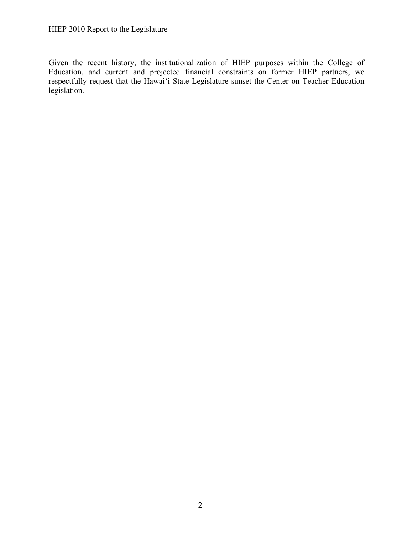Given the recent history, the institutionalization of HIEP purposes within the College of Education, and current and projected financial constraints on former HIEP partners, we respectfully request that the Hawai'i State Legislature sunset the Center on Teacher Education legislation.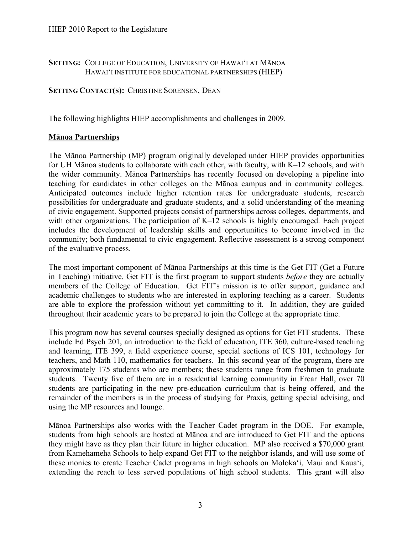#### **SETTING:** COLLEGE OF EDUCATION, UNIVERSITY OF HAWAI'I AT MĀNOA HAWAI'I INSTITUTE FOR EDUCATIONAL PARTNERSHIPS (HIEP)

**SETTING CONTACT(S):** CHRISTINE SORENSEN, DEAN

The following highlights HIEP accomplishments and challenges in 2009.

#### **Mānoa Partnerships**

The Mānoa Partnership (MP) program originally developed under HIEP provides opportunities for UH Mānoa students to collaborate with each other, with faculty, with K–12 schools, and with the wider community. Mānoa Partnerships has recently focused on developing a pipeline into teaching for candidates in other colleges on the Mānoa campus and in community colleges. Anticipated outcomes include higher retention rates for undergraduate students, research possibilities for undergraduate and graduate students, and a solid understanding of the meaning of civic engagement. Supported projects consist of partnerships across colleges, departments, and with other organizations. The participation of K–12 schools is highly encouraged. Each project includes the development of leadership skills and opportunities to become involved in the community; both fundamental to civic engagement. Reflective assessment is a strong component of the evaluative process.

The most important component of Mānoa Partnerships at this time is the Get FIT (Get a Future in Teaching) initiative. Get FIT is the first program to support students *before* they are actually members of the College of Education. Get FIT's mission is to offer support, guidance and academic challenges to students who are interested in exploring teaching as a career. Students are able to explore the profession without yet committing to it. In addition, they are guided throughout their academic years to be prepared to join the College at the appropriate time.

This program now has several courses specially designed as options for Get FIT students. These include Ed Psych 201, an introduction to the field of education, ITE 360, culture-based teaching and learning, ITE 399, a field experience course, special sections of ICS 101, technology for teachers, and Math 110, mathematics for teachers. In this second year of the program, there are approximately 175 students who are members; these students range from freshmen to graduate students. Twenty five of them are in a residential learning community in Frear Hall, over 70 students are participating in the new pre-education curriculum that is being offered, and the remainder of the members is in the process of studying for Praxis, getting special advising, and using the MP resources and lounge.

Mānoa Partnerships also works with the Teacher Cadet program in the DOE. For example, students from high schools are hosted at Mānoa and are introduced to Get FIT and the options they might have as they plan their future in higher education. MP also received a \$70,000 grant from Kamehameha Schools to help expand Get FIT to the neighbor islands, and will use some of these monies to create Teacher Cadet programs in high schools on Moloka'i, Maui and Kaua'i, extending the reach to less served populations of high school students. This grant will also